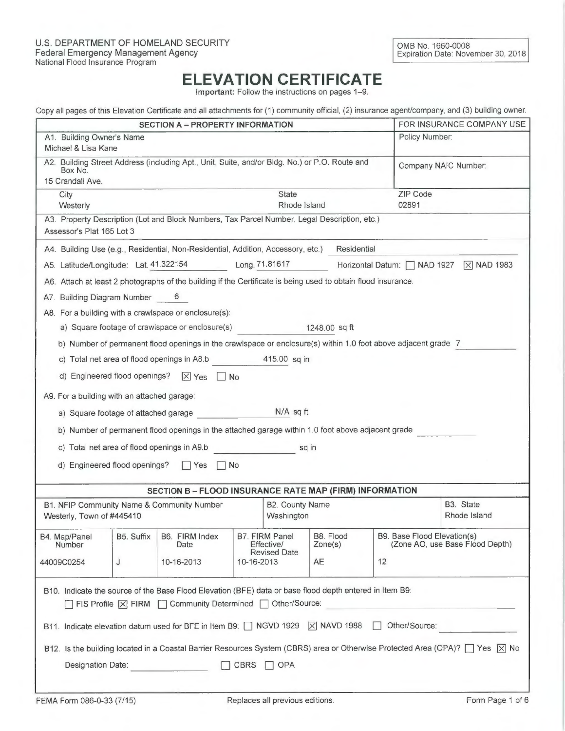## ELEVATION CERTIFICATE

Important: Follow the instructions on pages 1-9.

| Copy all pages of this Elevation Certificate and all attachments for (1) community official, (2) insurance agent/company, and (3) building owner. |  |  |  |  |  |  |
|---------------------------------------------------------------------------------------------------------------------------------------------------|--|--|--|--|--|--|
|---------------------------------------------------------------------------------------------------------------------------------------------------|--|--|--|--|--|--|

|                                                                                                                                                                          |                                         | boby an pages of this Elevation continuate and an attachmente for (1) community embat, (E) measured agent<br><b>SECTION A - PROPERTY INFORMATION</b> |            |                                                            |                      |                      |                             | FOR INSURANCE COMPANY USE                 |
|--------------------------------------------------------------------------------------------------------------------------------------------------------------------------|-----------------------------------------|------------------------------------------------------------------------------------------------------------------------------------------------------|------------|------------------------------------------------------------|----------------------|----------------------|-----------------------------|-------------------------------------------|
| A1. Building Owner's Name                                                                                                                                                |                                         |                                                                                                                                                      |            |                                                            |                      | Policy Number:       |                             |                                           |
| Michael & Lisa Kane                                                                                                                                                      |                                         |                                                                                                                                                      |            |                                                            |                      |                      |                             |                                           |
| A2. Building Street Address (including Apt., Unit, Suite, and/or Bldg. No.) or P.O. Route and<br>Box No.                                                                 |                                         |                                                                                                                                                      |            |                                                            |                      | Company NAIC Number: |                             |                                           |
| 15 Crandall Ave.<br>City                                                                                                                                                 |                                         |                                                                                                                                                      |            | State                                                      |                      |                      | ZIP Code                    |                                           |
| Westerly                                                                                                                                                                 |                                         |                                                                                                                                                      |            | Rhode Island                                               |                      |                      | 02891                       |                                           |
| Assessor's Plat 165 Lot 3                                                                                                                                                |                                         | A3. Property Description (Lot and Block Numbers, Tax Parcel Number, Legal Description, etc.)                                                         |            |                                                            |                      |                      |                             |                                           |
|                                                                                                                                                                          |                                         | A4. Building Use (e.g., Residential, Non-Residential, Addition, Accessory, etc.)                                                                     |            |                                                            |                      | Residential          |                             |                                           |
|                                                                                                                                                                          |                                         | A5. Latitude/Longitude: Lat. 41.322154 Long. 71.81617                                                                                                |            |                                                            |                      |                      |                             | Horizontal Datum:   NAD 1927   X NAD 1983 |
|                                                                                                                                                                          |                                         | A6. Attach at least 2 photographs of the building if the Certificate is being used to obtain flood insurance.                                        |            |                                                            |                      |                      |                             |                                           |
| A7. Building Diagram Number 6                                                                                                                                            |                                         |                                                                                                                                                      |            |                                                            |                      |                      |                             |                                           |
|                                                                                                                                                                          |                                         | A8. For a building with a crawlspace or enclosure(s):                                                                                                |            |                                                            |                      |                      |                             |                                           |
|                                                                                                                                                                          |                                         | a) Square footage of crawlspace or enclosure(s)                                                                                                      |            |                                                            | 1248.00 sq ft        |                      |                             |                                           |
|                                                                                                                                                                          |                                         | b) Number of permanent flood openings in the crawlspace or enclosure(s) within 1.0 foot above adjacent grade 7                                       |            |                                                            |                      |                      |                             |                                           |
|                                                                                                                                                                          |                                         | c) Total net area of flood openings in A8.b 415.00 sq in                                                                                             |            |                                                            |                      |                      |                             |                                           |
|                                                                                                                                                                          |                                         | d) Engineered flood openings? $\boxed{\times}$ Yes $\boxed{\phantom{1}}$ No                                                                          |            |                                                            |                      |                      |                             |                                           |
| A9. For a building with an attached garage:                                                                                                                              |                                         |                                                                                                                                                      |            |                                                            |                      |                      |                             |                                           |
|                                                                                                                                                                          |                                         | a) Square footage of attached garage M/A sq ft                                                                                                       |            |                                                            |                      |                      |                             |                                           |
|                                                                                                                                                                          |                                         | b) Number of permanent flood openings in the attached garage within 1.0 foot above adjacent grade                                                    |            |                                                            |                      |                      |                             |                                           |
|                                                                                                                                                                          |                                         | c) Total net area of flood openings in A9.b                                                                                                          |            |                                                            | sq in                |                      |                             |                                           |
| d) Engineered flood openings? TYes                                                                                                                                       |                                         |                                                                                                                                                      | No         |                                                            |                      |                      |                             |                                           |
|                                                                                                                                                                          |                                         |                                                                                                                                                      |            |                                                            |                      |                      |                             |                                           |
| SECTION B - FLOOD INSURANCE RATE MAP (FIRM) INFORMATION                                                                                                                  |                                         |                                                                                                                                                      |            |                                                            |                      |                      |                             |                                           |
| Westerly, Town of #445410                                                                                                                                                |                                         | B1. NFIP Community Name & Community Number                                                                                                           |            | B2. County Name<br>Washington                              |                      |                      |                             | B3. State<br>Rhode Island                 |
| B4. Map/Panel<br>Number                                                                                                                                                  | B5. Suffix                              | B6. FIRM Index<br>Date                                                                                                                               |            | <b>B7. FIRM Panel</b><br>Effective/<br><b>Revised Date</b> | B8. Flood<br>Zone(s) |                      | B9. Base Flood Elevation(s) | (Zone AO, use Base Flood Depth)           |
| 44009C0254                                                                                                                                                               | J                                       | 10-16-2013                                                                                                                                           | 10-16-2013 |                                                            | AE                   |                      | 12                          |                                           |
| B10. Indicate the source of the Base Flood Elevation (BFE) data or base flood depth entered in Item B9:<br>□ FIS Profile   X FIRM   Community Determined   Other/Source: |                                         |                                                                                                                                                      |            |                                                            |                      |                      |                             |                                           |
|                                                                                                                                                                          |                                         | B11. Indicate elevation datum used for BFE in Item B9: ■ NGVD 1929 X NAVD 1988                                                                       |            |                                                            |                      |                      | Other/Source:               |                                           |
| B12. Is the building located in a Coastal Barrier Resources System (CBRS) area or Otherwise Protected Area (OPA)? [7] Yes   X No                                         |                                         |                                                                                                                                                      |            |                                                            |                      |                      |                             |                                           |
|                                                                                                                                                                          | Designation Date:<br>CBRS<br><b>OPA</b> |                                                                                                                                                      |            |                                                            |                      |                      |                             |                                           |
|                                                                                                                                                                          |                                         |                                                                                                                                                      |            |                                                            |                      |                      |                             |                                           |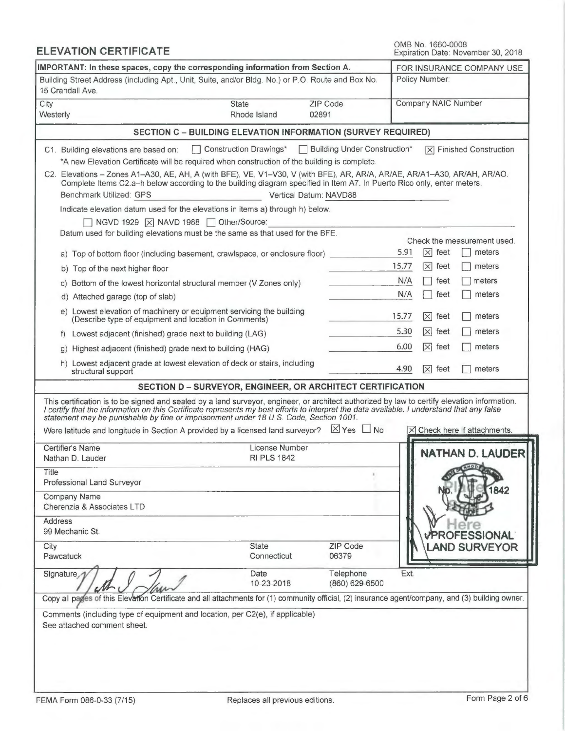| <b>ELEVATION CERTIFICATE</b>                                                                                                                                                                                                                                                                                                                                                                                                                                                                                                                                                                                                                                                |                                                                     |                                                          | OMB No. 1660-0008<br>Expiration Date: November 30, 2018                                                                                                                                                                                                                                                        |
|-----------------------------------------------------------------------------------------------------------------------------------------------------------------------------------------------------------------------------------------------------------------------------------------------------------------------------------------------------------------------------------------------------------------------------------------------------------------------------------------------------------------------------------------------------------------------------------------------------------------------------------------------------------------------------|---------------------------------------------------------------------|----------------------------------------------------------|----------------------------------------------------------------------------------------------------------------------------------------------------------------------------------------------------------------------------------------------------------------------------------------------------------------|
| IMPORTANT: In these spaces, copy the corresponding information from Section A.                                                                                                                                                                                                                                                                                                                                                                                                                                                                                                                                                                                              | FOR INSURANCE COMPANY USE                                           |                                                          |                                                                                                                                                                                                                                                                                                                |
| Building Street Address (including Apt., Unit, Suite, and/or Bldg. No.) or P.O. Route and Box No.<br>15 Crandall Ave.                                                                                                                                                                                                                                                                                                                                                                                                                                                                                                                                                       |                                                                     |                                                          | Policy Number:                                                                                                                                                                                                                                                                                                 |
| City<br>Westerly                                                                                                                                                                                                                                                                                                                                                                                                                                                                                                                                                                                                                                                            | <b>State</b><br>Rhode Island                                        | ZIP Code<br>02891                                        | Company NAIC Number                                                                                                                                                                                                                                                                                            |
|                                                                                                                                                                                                                                                                                                                                                                                                                                                                                                                                                                                                                                                                             | <b>SECTION C - BUILDING ELEVATION INFORMATION (SURVEY REQUIRED)</b> |                                                          |                                                                                                                                                                                                                                                                                                                |
| C1. Building elevations are based on:<br>*A new Elevation Certificate will be required when construction of the building is complete.<br>C2. Elevations - Zones A1-A30, AE, AH, A (with BFE), VE, V1-V30, V (with BFE), AR, AR/A, AR/AE, AR/A1-A30, AR/AH, AR/AO.<br>Complete Items C2.a-h below according to the building diagram specified in Item A7. In Puerto Rico only, enter meters.<br>Benchmark Utilized: GPS                                                                                                                                                                                                                                                      | Construction Drawings*                                              | □ Building Under Construction*<br>Vertical Datum: NAVD88 | $\triangleright$ Finished Construction                                                                                                                                                                                                                                                                         |
| Indicate elevation datum used for the elevations in items a) through h) below.                                                                                                                                                                                                                                                                                                                                                                                                                                                                                                                                                                                              | NGVD 1929   X NAVD 1988   Other/Source:                             |                                                          |                                                                                                                                                                                                                                                                                                                |
| Datum used for building elevations must be the same as that used for the BFE.<br>a) Top of bottom floor (including basement, crawlspace, or enclosure floor)<br>b) Top of the next higher floor<br>c) Bottom of the lowest horizontal structural member (V Zones only)<br>d) Attached garage (top of slab)<br>e) Lowest elevation of machinery or equipment servicing the building<br>(Describe type of equipment and location in Comments)<br>Lowest adjacent (finished) grade next to building (LAG)<br>Highest adjacent (finished) grade next to building (HAG)<br>q)<br>h) Lowest adjacent grade at lowest elevation of deck or stairs, including<br>structural support |                                                                     |                                                          | Check the measurement used.<br>5.91<br>$\times$<br>meters<br>feet<br>15.77<br>$\times$ feet<br>meters<br>N/A<br>meters<br>feet<br>N/A<br>feet<br>meters<br>15.77<br>$ \times $ feet<br>meters<br>5.30<br>$\times$ feet<br>meters<br>6.00<br>$ \mathsf{X} $ feet<br>meters<br>4.90<br>$ \times $ feet<br>meters |
|                                                                                                                                                                                                                                                                                                                                                                                                                                                                                                                                                                                                                                                                             | <b>SECTION D - SURVEYOR, ENGINEER, OR ARCHITECT CERTIFICATION</b>   |                                                          |                                                                                                                                                                                                                                                                                                                |
| This certification is to be signed and sealed by a land surveyor, engineer, or architect authorized by law to certify elevation information.<br>I certify that the information on this Certificate represents my best efforts to interpret the data available. I understand that any false<br>statement may be punishable by fine or imprisonment under 18 U.S. Code, Section 1001.<br>Were latitude and longitude in Section A provided by a licensed land surveyor? $\boxtimes$ Yes $\Box$ No                                                                                                                                                                             |                                                                     |                                                          | $\times$ Check here if attachments.                                                                                                                                                                                                                                                                            |
| Certifier's Name                                                                                                                                                                                                                                                                                                                                                                                                                                                                                                                                                                                                                                                            | License Number                                                      |                                                          | <b>NATHAN D. LAUDER</b>                                                                                                                                                                                                                                                                                        |
| Nathan D. Lauder<br>Title<br>Professional Land Surveyor<br><b>Company Name</b><br>Cherenzia & Associates LTD<br><b>Address</b><br>99 Mechanic St.                                                                                                                                                                                                                                                                                                                                                                                                                                                                                                                           | <b>RI PLS 1842</b>                                                  |                                                          | 842<br>PROFESSIONAL                                                                                                                                                                                                                                                                                            |
| City<br>Pawcatuck                                                                                                                                                                                                                                                                                                                                                                                                                                                                                                                                                                                                                                                           | <b>State</b><br>Connecticut                                         | <b>ZIP Code</b><br>06379                                 | <b>LAND SURVEYOR</b>                                                                                                                                                                                                                                                                                           |
| Signature<br>Comments (including type of equipment and location, per C2(e), if applicable)<br>See attached comment sheet.                                                                                                                                                                                                                                                                                                                                                                                                                                                                                                                                                   | Date<br>10-23-2018                                                  | Telephone<br>(860) 629-6500                              | Ext<br>Copy all pages of this Elevation Certificate and all attachments for (1) community official, (2) insurance agent/company, and (3) building owner.                                                                                                                                                       |
| FEMA Form 086-0-33 (7/15)                                                                                                                                                                                                                                                                                                                                                                                                                                                                                                                                                                                                                                                   | Replaces all previous editions.                                     |                                                          | Form Page 2 of 6                                                                                                                                                                                                                                                                                               |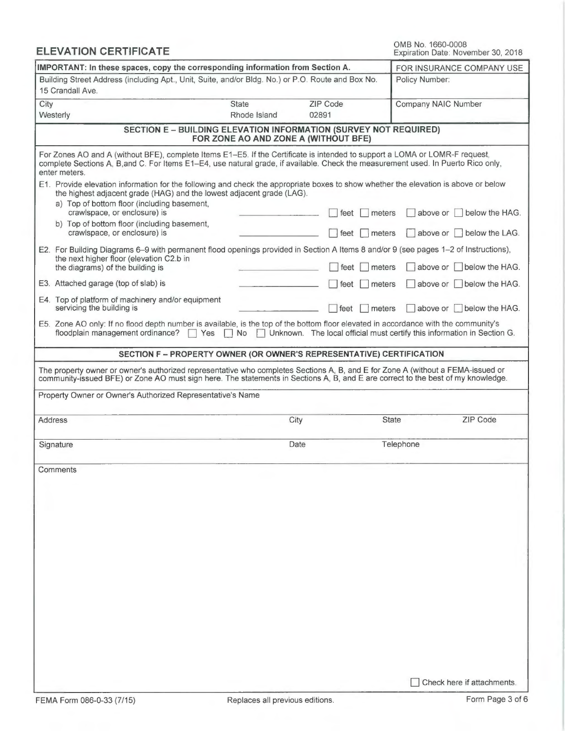|      | <b>ELEVATION CERTIFICATE</b>                                                                                                                                                                                                                                                      |                                      | OMB No. 1660-0008<br>Expiration Date: November 30, 2018                   |                     |                           |
|------|-----------------------------------------------------------------------------------------------------------------------------------------------------------------------------------------------------------------------------------------------------------------------------------|--------------------------------------|---------------------------------------------------------------------------|---------------------|---------------------------|
|      | IMPORTANT: In these spaces, copy the corresponding information from Section A.                                                                                                                                                                                                    |                                      | FOR INSURANCE COMPANY USE                                                 |                     |                           |
|      | Building Street Address (including Apt., Unit, Suite, and/or Bldg. No.) or P.O. Route and Box No.<br>15 Crandall Ave.                                                                                                                                                             |                                      |                                                                           | Policy Number:      |                           |
| City | Westerly                                                                                                                                                                                                                                                                          | <b>State</b><br>Rhode Island         | ZIP Code<br>02891                                                         | Company NAIC Number |                           |
|      | <b>SECTION E - BUILDING ELEVATION INFORMATION (SURVEY NOT REQUIRED)</b>                                                                                                                                                                                                           | FOR ZONE AO AND ZONE A (WITHOUT BFE) |                                                                           |                     |                           |
|      | For Zones AO and A (without BFE), complete Items E1-E5. If the Certificate is intended to support a LOMA or LOMR-F request,<br>complete Sections A, B, and C. For Items E1-E4, use natural grade, if available. Check the measurement used. In Puerto Rico only,<br>enter meters. |                                      |                                                                           |                     |                           |
|      | E1. Provide elevation information for the following and check the appropriate boxes to show whether the elevation is above or below<br>the highest adjacent grade (HAG) and the lowest adjacent grade (LAG).<br>a) Top of bottom floor (including basement,                       |                                      |                                                                           |                     |                           |
|      | crawlspace, or enclosure) is<br>b) Top of bottom floor (including basement,                                                                                                                                                                                                       |                                      | feet                                                                      | meters              | above or   below the HAG. |
|      | crawlspace, or enclosure) is<br>E2. For Building Diagrams 6–9 with permanent flood openings provided in Section A Items 8 and/or 9 (see pages 1–2 of Instructions),                                                                                                               |                                      | feet                                                                      | meters              | above or below the LAG.   |
|      | the next higher floor (elevation C2.b in<br>the diagrams) of the building is                                                                                                                                                                                                      |                                      | feet                                                                      | meters              | above or below the HAG.   |
|      | E3. Attached garage (top of slab) is                                                                                                                                                                                                                                              |                                      | <b>I</b> meters<br>feet                                                   |                     | above or I below the HAG. |
|      | E4. Top of platform of machinery and/or equipment<br>servicing the building is                                                                                                                                                                                                    |                                      | feet<br>  meters                                                          | above or            | below the HAG.            |
|      | E5. Zone AO only: If no flood depth number is available, is the top of the bottom floor elevated in accordance with the community's<br>floodplain management ordinance?<br>$\Box$ Yes                                                                                             | N <sub>o</sub>                       | □ Unknown. The local official must certify this information in Section G. |                     |                           |
|      | SECTION F - PROPERTY OWNER (OR OWNER'S REPRESENTATIVE) CERTIFICATION                                                                                                                                                                                                              |                                      |                                                                           |                     |                           |
|      | The property owner or owner's authorized representative who completes Sections A, B, and E for Zone A (without a FEMA-issued or<br>community-issued BFE) or Zone AO must sign here. The statements in Sections A, B, and E are correct to the best of my knowledge.               |                                      |                                                                           |                     |                           |
|      | Property Owner or Owner's Authorized Representative's Name                                                                                                                                                                                                                        |                                      |                                                                           |                     |                           |
|      | Address                                                                                                                                                                                                                                                                           | City                                 |                                                                           | State               | ZIP Code                  |
|      | Signature                                                                                                                                                                                                                                                                         | Date                                 |                                                                           | Telephone           |                           |
|      | Comments                                                                                                                                                                                                                                                                          |                                      |                                                                           |                     |                           |
|      |                                                                                                                                                                                                                                                                                   |                                      |                                                                           |                     |                           |
|      |                                                                                                                                                                                                                                                                                   |                                      |                                                                           |                     |                           |
|      |                                                                                                                                                                                                                                                                                   |                                      |                                                                           |                     |                           |
|      |                                                                                                                                                                                                                                                                                   |                                      |                                                                           |                     |                           |
|      |                                                                                                                                                                                                                                                                                   |                                      |                                                                           |                     |                           |
|      |                                                                                                                                                                                                                                                                                   |                                      |                                                                           |                     |                           |
|      |                                                                                                                                                                                                                                                                                   |                                      |                                                                           |                     |                           |
|      |                                                                                                                                                                                                                                                                                   |                                      |                                                                           |                     |                           |
|      |                                                                                                                                                                                                                                                                                   |                                      |                                                                           |                     |                           |
|      |                                                                                                                                                                                                                                                                                   |                                      |                                                                           |                     |                           |
|      |                                                                                                                                                                                                                                                                                   |                                      |                                                                           |                     | Check here if attachments |

J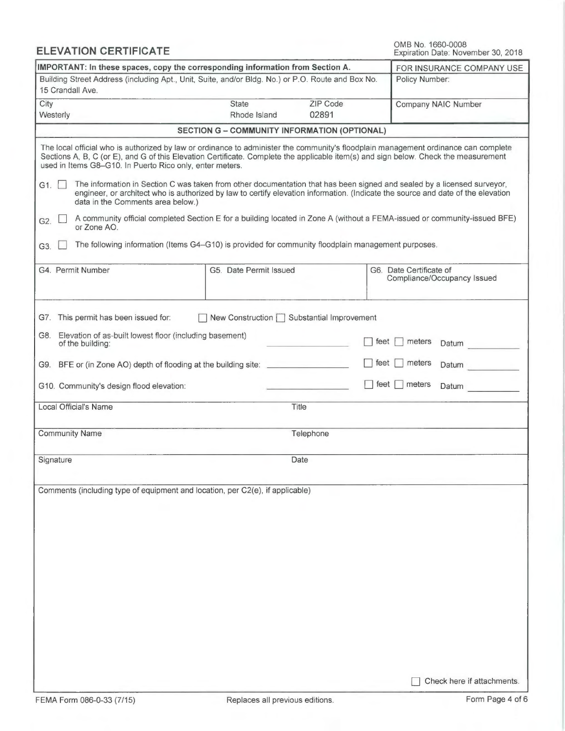OMB No. 1660-0008 Expiration Date: November 30, 2018

| IMPORTANT: In these spaces, copy the corresponding information from Section A.                                                                                                                                                                                                                                                                                                                                                                                                                                                      | FOR INSURANCE COMPANY USE                    |                                                                      |                                                                                                                                                                                                                                                               |
|-------------------------------------------------------------------------------------------------------------------------------------------------------------------------------------------------------------------------------------------------------------------------------------------------------------------------------------------------------------------------------------------------------------------------------------------------------------------------------------------------------------------------------------|----------------------------------------------|----------------------------------------------------------------------|---------------------------------------------------------------------------------------------------------------------------------------------------------------------------------------------------------------------------------------------------------------|
| Building Street Address (including Apt., Unit, Suite, and/or Bldg. No.) or P.O. Route and Box No.<br>15 Crandall Ave.                                                                                                                                                                                                                                                                                                                                                                                                               | Policy Number:                               |                                                                      |                                                                                                                                                                                                                                                               |
| City<br>Westerly                                                                                                                                                                                                                                                                                                                                                                                                                                                                                                                    | <b>State</b><br>Rhode Island                 | ZIP Code<br>02891                                                    | Company NAIC Number                                                                                                                                                                                                                                           |
|                                                                                                                                                                                                                                                                                                                                                                                                                                                                                                                                     | SECTION G - COMMUNITY INFORMATION (OPTIONAL) |                                                                      |                                                                                                                                                                                                                                                               |
| The local official who is authorized by law or ordinance to administer the community's floodplain management ordinance can complete<br>Sections A, B, C (or E), and G of this Elevation Certificate. Complete the applicable item(s) and sign below. Check the measurement<br>used in Items G8-G10. In Puerto Rico only, enter meters.<br>The information in Section C was taken from other documentation that has been signed and sealed by a licensed surveyor,<br>G1.<br>data in the Comments area below.)<br>G2.<br>or Zone AO. |                                              |                                                                      | engineer, or architect who is authorized by law to certify elevation information. (Indicate the source and date of the elevation<br>A community official completed Section E for a building located in Zone A (without a FEMA-issued or community-issued BFE) |
| The following information (Items G4-G10) is provided for community floodplain management purposes.<br>G3.                                                                                                                                                                                                                                                                                                                                                                                                                           |                                              |                                                                      |                                                                                                                                                                                                                                                               |
| G4. Permit Number                                                                                                                                                                                                                                                                                                                                                                                                                                                                                                                   | G5. Date Permit Issued                       |                                                                      | G6. Date Certificate of<br>Compliance/Occupancy Issued                                                                                                                                                                                                        |
| G7. This permit has been issued for:<br>G8. Elevation of as-built lowest floor (including basement)<br>of the building:<br>G9. BFE or (in Zone AO) depth of flooding at the building site: _________                                                                                                                                                                                                                                                                                                                                | New Construction   Substantial Improvement   | feet<br>meters<br>Datum<br>feet<br>meters<br>Datum<br>feet<br>meters |                                                                                                                                                                                                                                                               |
| G10. Community's design flood elevation:<br>Local Official's Name                                                                                                                                                                                                                                                                                                                                                                                                                                                                   |                                              | Title                                                                | Datum                                                                                                                                                                                                                                                         |
|                                                                                                                                                                                                                                                                                                                                                                                                                                                                                                                                     |                                              |                                                                      |                                                                                                                                                                                                                                                               |
| <b>Community Name</b>                                                                                                                                                                                                                                                                                                                                                                                                                                                                                                               |                                              | Telephone                                                            |                                                                                                                                                                                                                                                               |
| Signature                                                                                                                                                                                                                                                                                                                                                                                                                                                                                                                           |                                              | Date                                                                 |                                                                                                                                                                                                                                                               |
| Comments (including type of equipment and location, per C2(e), if applicable)                                                                                                                                                                                                                                                                                                                                                                                                                                                       |                                              |                                                                      | Check here if attachments.                                                                                                                                                                                                                                    |

ELEVATION CERTIFICATE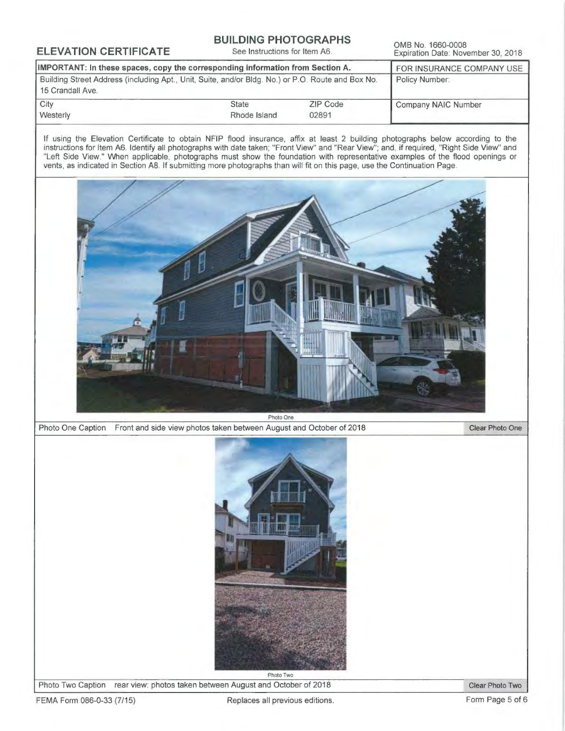## **BUILDING PHOTOGRAPHS**<br>See Instructions for Item A6.

ELEVATION CERTIFICATE BUILDING PHOTOGRAPHS<br>Expiration Date: November 30, 2018

| IMPORTANT: In these spaces, copy the corresponding information from Section A.                    | FOR INSURANCE COMPANY USE |          |                     |
|---------------------------------------------------------------------------------------------------|---------------------------|----------|---------------------|
| Building Street Address (including Apt., Unit, Suite, and/or Bldg. No.) or P.O. Route and Box No. | Policy Number:            |          |                     |
| 15 Crandall Ave.                                                                                  |                           |          |                     |
| City                                                                                              | <b>State</b>              | ZIP Code | Company NAIC Number |
| Westerly                                                                                          | Rhode Island              | 02891    |                     |

If using the Elevation Certificate to obtain NFIP flood insurance, affix at least 2 building photographs below according to the instructions for Item A6. Identify all photographs with date taken; "Front View" and "Rear View"; and, if required, "Right Side View" and "Left Side View." When applicable, photographs must show the foundation with representative examples of the flood openings or vents, as indicated in Section A8. If submitting more photographs than will fit on this page, use the Continuation Page.



Photo One Caption Front and side view photos taken between August and October of 2018 Clear Photo One



Photo Two Caption rear view: photos taken between August and October of 2018 Clear Photo Two

FEMA Form 086-0-33 (7/15) Replaces all previous editions. The mage 5 of 6 contract to the Page 5 of 6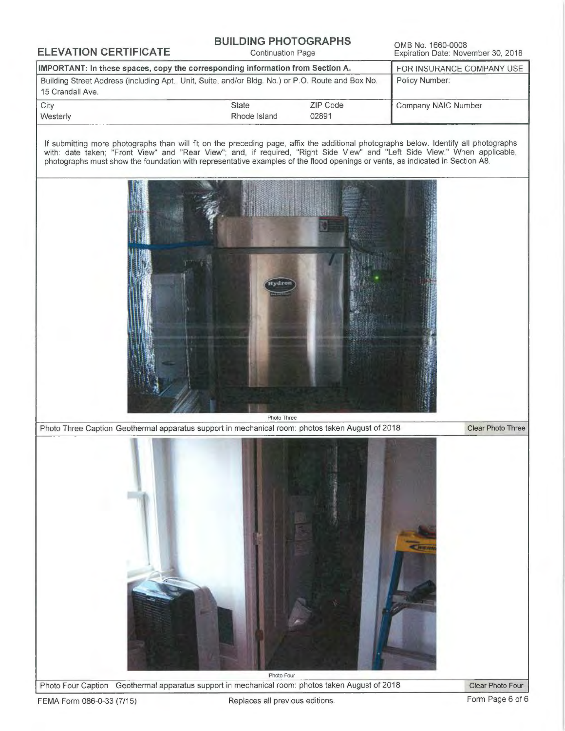# **BUILDING PHOTOGRAPHS**<br>Continuation Page

ELEVATION CERTIFICATE BUILDING PHOTOGRAPHS OMB No. 1660-0008<br>Expiration Date: November 30, 2018

| IMPORTANT: In these spaces, copy the corresponding information from Section A.                                        | FOR INSURANCE COMPANY USE |          |                     |
|-----------------------------------------------------------------------------------------------------------------------|---------------------------|----------|---------------------|
| Building Street Address (including Apt., Unit, Suite, and/or Bldg. No.) or P.O. Route and Box No.<br>15 Crandall Ave. | Policy Number:            |          |                     |
| <b>City</b>                                                                                                           | State                     | ZIP Code | Company NAIC Number |
| <b>Westerly</b>                                                                                                       | Rhode Island              | 02891    |                     |

If submitting more photographs than will fit on the preceding page, affix the additional photographs below. Identify all photographs with: date taken; "Front View" and "Rear View"; and, if required, "Right Side View" and "Left Side View." When applicable, photographs must show the foundation with representative examples of the flood openings or vents, as indicated in Section A8.



Photo Three

Photo Three Caption Geothermal apparatus support in mechanical room: photos taken August of 2018 Clear Photo Three



Photo Four Caption Geothermal apparatus support in mechanical room: photos taken August of 2018 Clear Photo Four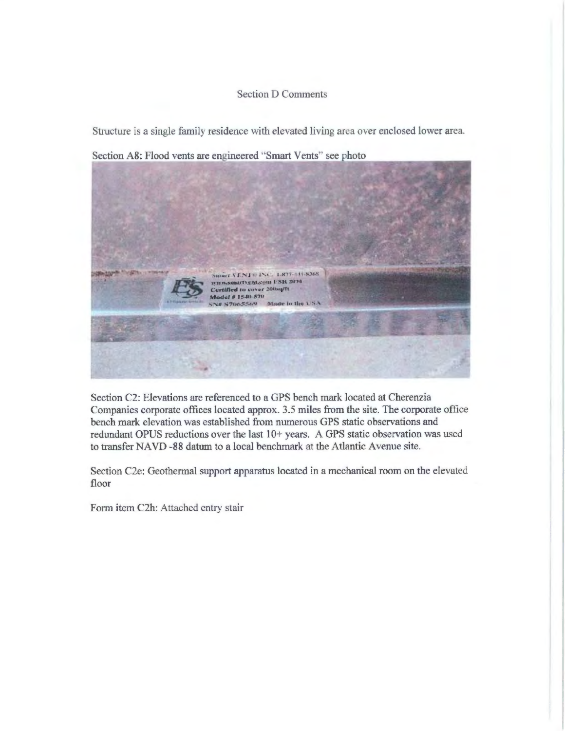### Section D Comments

Structure is a single family residence with elevated living area over enclosed lower area.

Section A8: Flood vents are engineered "Smart Vents" see photo



Section C2: Elevations are referenced to a GPS bench mark located at Cherenzia <sup>C</sup>ompanies corporate offices located approx. 3.5 miles from the site. The corporate office bench mark elevation was established from numerous GPS static observations and <sup>r</sup>edundant OPUS reductions over the last 10+ years. A GPS static observation was used to transfer NAVD -88 datum to a local benchmark at the Atlantic Avenue site.

Section C2e: Geothermal support apparatus located in a mechanical room on the elevated floor

<sup>F</sup>orm item C2h: Attached entry stair